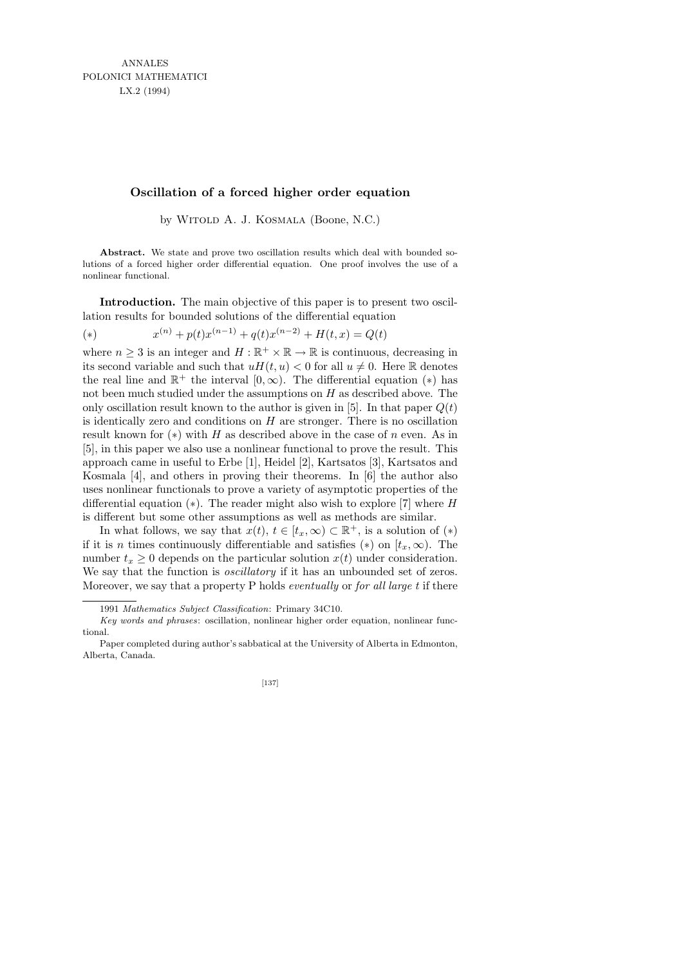## **Oscillation of a forced higher order equation**

by WITOLD A. J. KOSMALA (Boone, N.C.)

**Abstract.** We state and prove two oscillation results which deal with bounded solutions of a forced higher order differential equation. One proof involves the use of a nonlinear functional.

Introduction. The main objective of this paper is to present two oscillation results for bounded solutions of the differential equation

(\*) 
$$
x^{(n)} + p(t)x^{(n-1)} + q(t)x^{(n-2)} + H(t, x) = Q(t)
$$

where  $n \geq 3$  is an integer and  $H : \mathbb{R}^+ \times \mathbb{R} \to \mathbb{R}$  is continuous, decreasing in its second variable and such that  $uH(t, u) < 0$  for all  $u \neq 0$ . Here R denotes the real line and  $\mathbb{R}^+$  the interval  $[0,\infty)$ . The differential equation  $(*)$  has not been much studied under the assumptions on  $H$  as described above. The only oscillation result known to the author is given in [5]. In that paper  $Q(t)$ is identically zero and conditions on  $H$  are stronger. There is no oscillation result known for  $(*)$  with H as described above in the case of n even. As in [5], in this paper we also use a nonlinear functional to prove the result. This approach came in useful to Erbe [1], Heidel [2], Kartsatos [3], Kartsatos and Kosmala [4], and others in proving their theorems. In [6] the author also uses nonlinear functionals to prove a variety of asymptotic properties of the differential equation  $(*)$ . The reader might also wish to explore [7] where H is different but some other assumptions as well as methods are similar.

In what follows, we say that  $x(t)$ ,  $t \in [t_x, \infty) \subset \mathbb{R}^+$ , is a solution of  $(*)$ if it is *n* times continuously differentiable and satisfies (\*) on  $[t_x, \infty)$ . The number  $t_x \geq 0$  depends on the particular solution  $x(t)$  under consideration. We say that the function is *oscillatory* if it has an unbounded set of zeros. Moreover, we say that a property P holds *eventually* or *for all large t* if there

Paper completed during author's sabbatical at the University of Alberta in Edmonton, Alberta, Canada.



<sup>1991</sup> *Mathematics Subject Classification*: Primary 34C10.

*Key words and phrases*: oscillation, nonlinear higher order equation, nonlinear functional.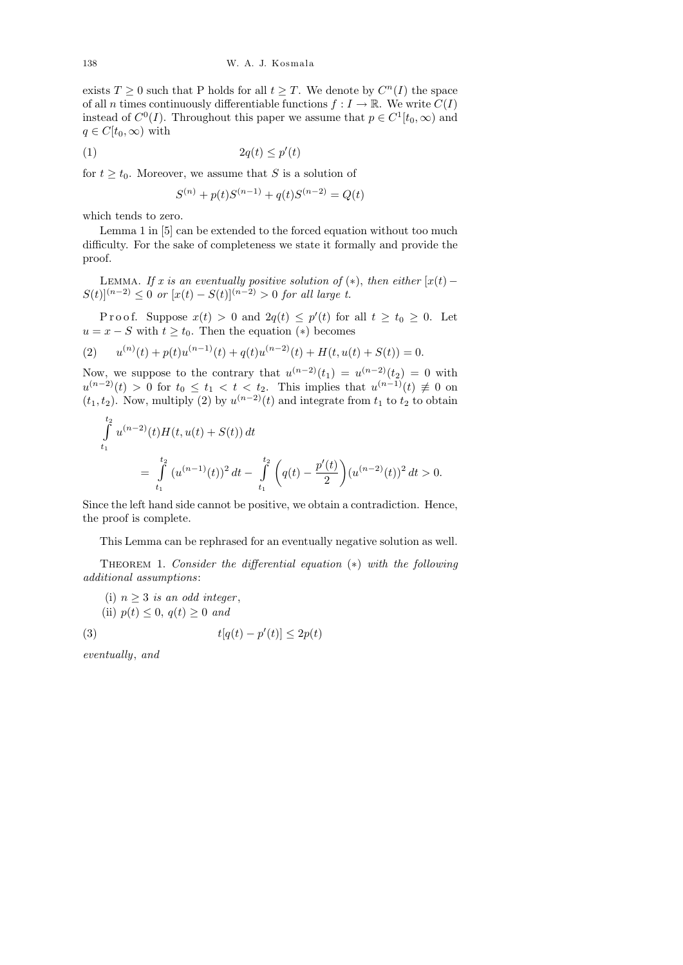exists  $T \geq 0$  such that P holds for all  $t \geq T$ . We denote by  $C^{n}(I)$  the space of all n times continuously differentiable functions  $f: I \to \mathbb{R}$ . We write  $C(I)$ instead of  $C^0(I)$ . Throughout this paper we assume that  $p \in C^1[t_0, \infty)$  and  $q \in C[t_0,\infty)$  with

$$
(1) \t\t\t 2q(t) \le p'(t)
$$

for  $t \geq t_0$ . Moreover, we assume that S is a solution of

$$
S^{(n)} + p(t)S^{(n-1)} + q(t)S^{(n-2)} = Q(t)
$$

which tends to zero.

Lemma 1 in [5] can be extended to the forced equation without too much difficulty. For the sake of completeness we state it formally and provide the proof.

LEMMA. If x is an eventually positive solution of  $(*)$ , then either  $[x(t) S(t)|^{(n-2)} \leq 0$  or  $[x(t) - S(t)]^{(n-2)} > 0$  for all large t.

Proof. Suppose  $x(t) > 0$  and  $2q(t) \leq p'(t)$  for all  $t \geq t_0 \geq 0$ . Let  $u = x - S$  with  $t \geq t_0$ . Then the equation  $(*)$  becomes

(2) 
$$
u^{(n)}(t) + p(t)u^{(n-1)}(t) + q(t)u^{(n-2)}(t) + H(t, u(t) + S(t)) = 0.
$$

Now, we suppose to the contrary that  $u^{(n-2)}(t_1) = u^{(n-2)}(t_2) = 0$  with  $u^{(n-2)}(t) > 0$  for  $t_0 \le t_1 < t < t_2$ . This implies that  $u^{(n-1)}(t) \not\equiv 0$  on  $(t_1, t_2)$ . Now, multiply (2) by  $u^{(n-2)}(t)$  and integrate from  $t_1$  to  $t_2$  to obtain

$$
\int_{t_1}^{t_2} u^{(n-2)}(t)H(t, u(t) + S(t)) dt
$$
\n
$$
= \int_{t_1}^{t_2} (u^{(n-1)}(t))^2 dt - \int_{t_1}^{t_2} \left( q(t) - \frac{p'(t)}{2} \right) (u^{(n-2)}(t))^2 dt > 0.
$$

Since the left hand side cannot be positive, we obtain a contradiction. Hence, the proof is complete.

This Lemma can be rephrased for an eventually negative solution as well.

THEOREM 1. Consider the differential equation  $(*)$  with the following additional assumptions:

(i)  $n \geq 3$  is an odd integer, (ii)  $p(t) \leq 0$ ,  $q(t) \geq 0$  and

$$
(3) \t t[q(t) - p'(t)] \le 2p(t)
$$

eventually, and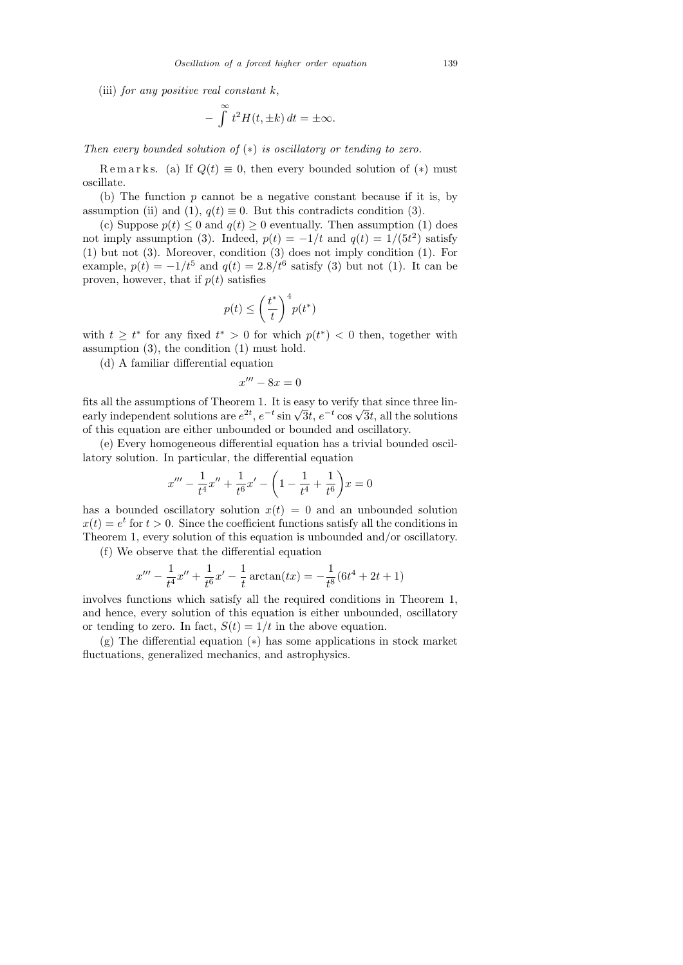(iii) for any positive real constant  $k$ ,

$$
- \int_{-\infty}^{\infty} t^2 H(t, \pm k) dt = \pm \infty.
$$

Then every bounded solution of  $(*)$  is oscillatory or tending to zero.

Remarks. (a) If  $Q(t) \equiv 0$ , then every bounded solution of (\*) must oscillate.

(b) The function  $p$  cannot be a negative constant because if it is, by assumption (ii) and (1),  $q(t) \equiv 0$ . But this contradicts condition (3).

(c) Suppose  $p(t) \leq 0$  and  $q(t) \geq 0$  eventually. Then assumption (1) does not imply assumption (3). Indeed,  $p(t) = -1/t$  and  $q(t) = 1/(5t^2)$  satisfy (1) but not (3). Moreover, condition (3) does not imply condition (1). For example,  $p(t) = -1/t^5$  and  $q(t) = 2.8/t^6$  satisfy (3) but not (1). It can be proven, however, that if  $p(t)$  satisfies

$$
p(t) \le \left(\frac{t^*}{t}\right)^4 p(t^*)
$$

with  $t \geq t^*$  for any fixed  $t^* > 0$  for which  $p(t^*) < 0$  then, together with assumption (3), the condition (1) must hold.

(d) A familiar differential equation

$$
x''' - 8x = 0
$$

fits all the assumptions of Theorem 1. It is easy to verify that since three linnts an the assumptions of Theorem 1. It is easy to verify that since three in-<br>early independent solutions are  $e^{2t}$ ,  $e^{-t} \sin \sqrt{3}t$ ,  $e^{-t} \cos \sqrt{3}t$ , all the solutions of this equation are either unbounded or bounded and oscillatory.

(e) Every homogeneous differential equation has a trivial bounded oscillatory solution. In particular, the differential equation

$$
x''' - \frac{1}{t^4}x'' + \frac{1}{t^6}x' - \left(1 - \frac{1}{t^4} + \frac{1}{t^6}\right)x = 0
$$

has a bounded oscillatory solution  $x(t) = 0$  and an unbounded solution  $x(t) = e^t$  for  $t > 0$ . Since the coefficient functions satisfy all the conditions in Theorem 1, every solution of this equation is unbounded and/or oscillatory.

(f) We observe that the differential equation

$$
x''' - \frac{1}{t^4}x'' + \frac{1}{t^6}x' - \frac{1}{t}\arctan(tx) = -\frac{1}{t^8}(6t^4 + 2t + 1)
$$

involves functions which satisfy all the required conditions in Theorem 1, and hence, every solution of this equation is either unbounded, oscillatory or tending to zero. In fact,  $S(t) = 1/t$  in the above equation.

(g) The differential equation (∗) has some applications in stock market fluctuations, generalized mechanics, and astrophysics.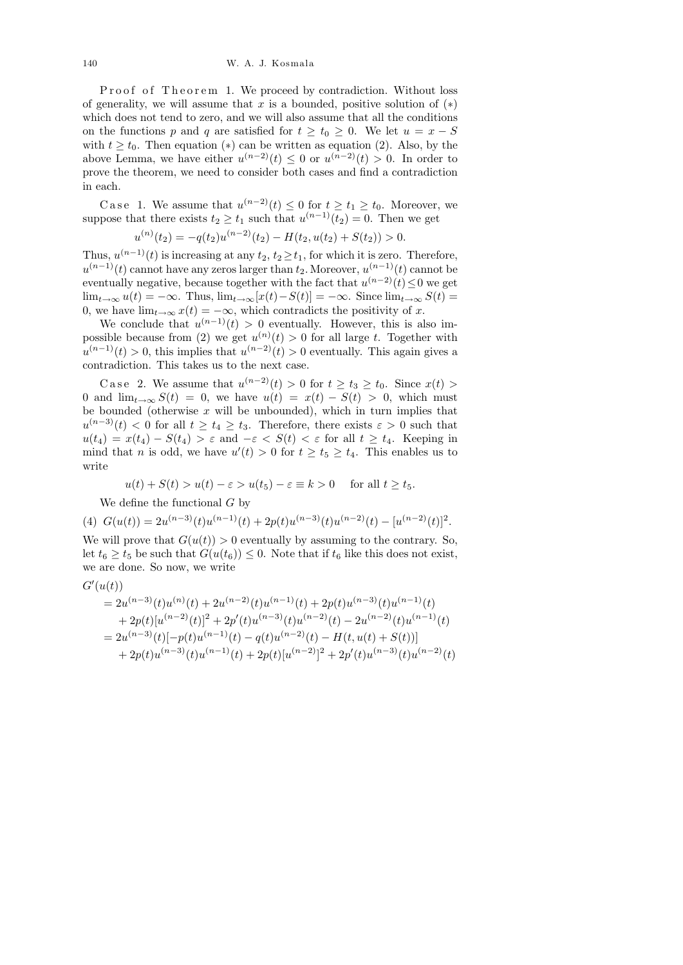Proof of Theorem 1. We proceed by contradiction. Without loss of generality, we will assume that x is a bounded, positive solution of  $(*)$ which does not tend to zero, and we will also assume that all the conditions on the functions p and q are satisfied for  $t \geq t_0 \geq 0$ . We let  $u = x - S$ with  $t \geq t_0$ . Then equation (\*) can be written as equation (2). Also, by the above Lemma, we have either  $u^{(n-2)}(t) \leq 0$  or  $u^{(n-2)}(t) > 0$ . In order to prove the theorem, we need to consider both cases and find a contradiction in each.

Case 1. We assume that  $u^{(n-2)}(t) \leq 0$  for  $t \geq t_1 \geq t_0$ . Moreover, we suppose that there exists  $t_2 \geq t_1$  such that  $u^{(n-1)}(t_2) = 0$ . Then we get

$$
u^{(n)}(t_2) = -q(t_2)u^{(n-2)}(t_2) - H(t_2, u(t_2) + S(t_2)) > 0.
$$

Thus,  $u^{(n-1)}(t)$  is increasing at any  $t_2, t_2 \geq t_1$ , for which it is zero. Therefore,  $u^{(n-1)}(t)$  cannot have any zeros larger than  $t_2$ . Moreover,  $u^{(n-1)}(t)$  cannot be eventually negative, because together with the fact that  $u^{(n-2)}(t) \leq 0$  we get  $\lim_{t\to\infty} u(t) = -\infty$ . Thus,  $\lim_{t\to\infty} [x(t) - S(t)] = -\infty$ . Since  $\lim_{t\to\infty} S(t) =$ 0, we have  $\lim_{t\to\infty} x(t) = -\infty$ , which contradicts the positivity of x.

We conclude that  $u^{(n-1)}(t) > 0$  eventually. However, this is also impossible because from (2) we get  $u^{(n)}(t) > 0$  for all large t. Together with  $u^{(n-1)}(t) > 0$ , this implies that  $u^{(n-2)}(t) > 0$  eventually. This again gives a contradiction. This takes us to the next case.

Case 2. We assume that  $u^{(n-2)}(t) > 0$  for  $t \ge t_3 \ge t_0$ . Since  $x(t) > 0$ 0 and  $\lim_{t\to\infty} S(t) = 0$ , we have  $u(t) = x(t) - S(t) > 0$ , which must be bounded (otherwise  $x$  will be unbounded), which in turn implies that  $u^{(n-3)}(t) < 0$  for all  $t \geq t_4 \geq t_3$ . Therefore, there exists  $\varepsilon > 0$  such that  $u(t_4) = x(t_4) - S(t_4) > \varepsilon$  and  $-\varepsilon < S(t) < \varepsilon$  for all  $t \geq t_4$ . Keeping in mind that *n* is odd, we have  $u'(t) > 0$  for  $t \ge t_5 \ge t_4$ . This enables us to write

$$
u(t) + S(t) > u(t) - \varepsilon > u(t_5) - \varepsilon \equiv k > 0
$$
 for all  $t \ge t_5$ .

We define the functional  $G$  by

(4) 
$$
G(u(t)) = 2u^{(n-3)}(t)u^{(n-1)}(t) + 2p(t)u^{(n-3)}(t)u^{(n-2)}(t) - [u^{(n-2)}(t)]^2.
$$

We will prove that  $G(u(t)) > 0$  eventually by assuming to the contrary. So, let  $t_6 \geq t_5$  be such that  $G(u(t_6)) \leq 0$ . Note that if  $t_6$  like this does not exist, we are done. So now, we write

$$
G'(u(t))
$$
  
=  $2u^{(n-3)}(t)u^{(n)}(t) + 2u^{(n-2)}(t)u^{(n-1)}(t) + 2p(t)u^{(n-3)}(t)u^{(n-1)}(t)$   
+  $2p(t)[u^{(n-2)}(t)]^2 + 2p'(t)u^{(n-3)}(t)u^{(n-2)}(t) - 2u^{(n-2)}(t)u^{(n-1)}(t)$   
=  $2u^{(n-3)}(t)[-p(t)u^{(n-1)}(t) - q(t)u^{(n-2)}(t) - H(t, u(t) + S(t))]$   
+  $2p(t)u^{(n-3)}(t)u^{(n-1)}(t) + 2p(t)[u^{(n-2)}]^2 + 2p'(t)u^{(n-3)}(t)u^{(n-2)}(t)$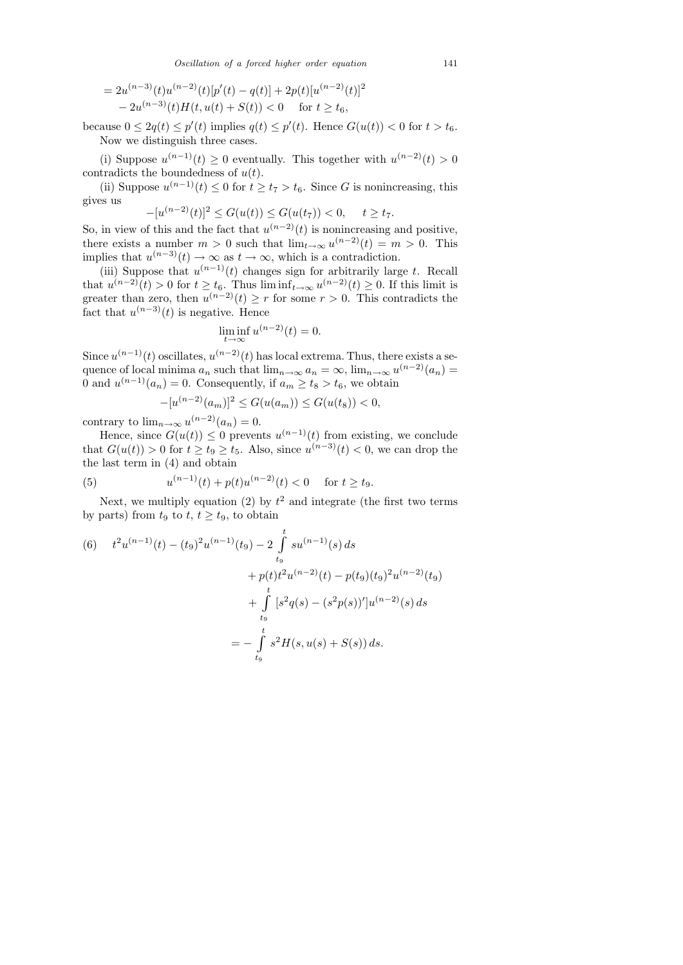$$
= 2u^{(n-3)}(t)u^{(n-2)}(t)[p'(t) - q(t)] + 2p(t)[u^{(n-2)}(t)]^2
$$
  

$$
- 2u^{(n-3)}(t)H(t, u(t) + S(t)) < 0 \quad \text{for } t \ge t_6,
$$

because  $0 \leq 2q(t) \leq p'(t)$  implies  $q(t) \leq p'(t)$ . Hence  $G(u(t)) < 0$  for  $t > t_6$ . Now we distinguish three cases.

(i) Suppose  $u^{(n-1)}(t) \geq 0$  eventually. This together with  $u^{(n-2)}(t) > 0$ contradicts the boundedness of  $u(t)$ .

(ii) Suppose  $u^{(n-1)}(t) \leq 0$  for  $t \geq t_7 > t_6$ . Since G is nonincreasing, this gives us

$$
-[u^{(n-2)}(t)]^2 \le G(u(t)) \le G(u(t_7)) < 0, \quad t \ge t_7.
$$

So, in view of this and the fact that  $u^{(n-2)}(t)$  is nonincreasing and positive, there exists a number  $m > 0$  such that  $\lim_{t \to \infty} u^{(n-2)}(t) = m > 0$ . This implies that  $u^{(n-3)}(t) \to \infty$  as  $t \to \infty$ , which is a contradiction.

(iii) Suppose that  $u^{(n-1)}(t)$  changes sign for arbitrarily large t. Recall that  $u^{(n-2)}(t) > 0$  for  $t \ge t_6$ . Thus  $\liminf_{t \to \infty} u^{(n-2)}(t) \ge 0$ . If this limit is greater than zero, then  $u^{(n-2)}(t) \geq r$  for some  $r > 0$ . This contradicts the fact that  $u^{(n-3)}(t)$  is negative. Hence

$$
\liminf_{t \to \infty} u^{(n-2)}(t) = 0.
$$

Since  $u^{(n-1)}(t)$  oscillates,  $u^{(n-2)}(t)$  has local extrema. Thus, there exists a sequence of local minima  $a_n$  such that  $\lim_{n\to\infty} a_n = \infty$ ,  $\lim_{n\to\infty} u^{(n-2)}(a_n) =$ 0 and  $u^{(n-1)}(a_n) = 0$ . Consequently, if  $a_m \ge t_8 > t_6$ , we obtain

$$
-[u^{(n-2)}(a_m)]^2 \le G(u(a_m)) \le G(u(t_8)) < 0,
$$

contrary to  $\lim_{n\to\infty} u^{(n-2)}(a_n)=0.$ 

Hence, since  $G(u(t)) \leq 0$  prevents  $u^{(n-1)}(t)$  from existing, we conclude that  $G(u(t)) > 0$  for  $t \ge t_9 \ge t_5$ . Also, since  $u^{(n-3)}(t) < 0$ , we can drop the the last term in (4) and obtain

(5) 
$$
u^{(n-1)}(t) + p(t)u^{(n-2)}(t) < 0 \quad \text{for } t \ge t_9.
$$

Next, we multiply equation (2) by  $t^2$  and integrate (the first two terms by parts) from  $t_9$  to  $t, t \geq t_9$ , to obtain

(6) 
$$
t^{2}u^{(n-1)}(t) - (t_{9})^{2}u^{(n-1)}(t_{9}) - 2\int_{t_{9}}^{t}su^{(n-1)}(s) ds
$$

$$
+ p(t)t^{2}u^{(n-2)}(t) - p(t_{9})(t_{9})^{2}u^{(n-2)}(t_{9})
$$

$$
+ \int_{t_{9}}^{t} [s^{2}q(s) - (s^{2}p(s))']u^{(n-2)}(s) ds
$$

$$
= - \int_{t_{9}}^{t} s^{2}H(s, u(s) + S(s)) ds.
$$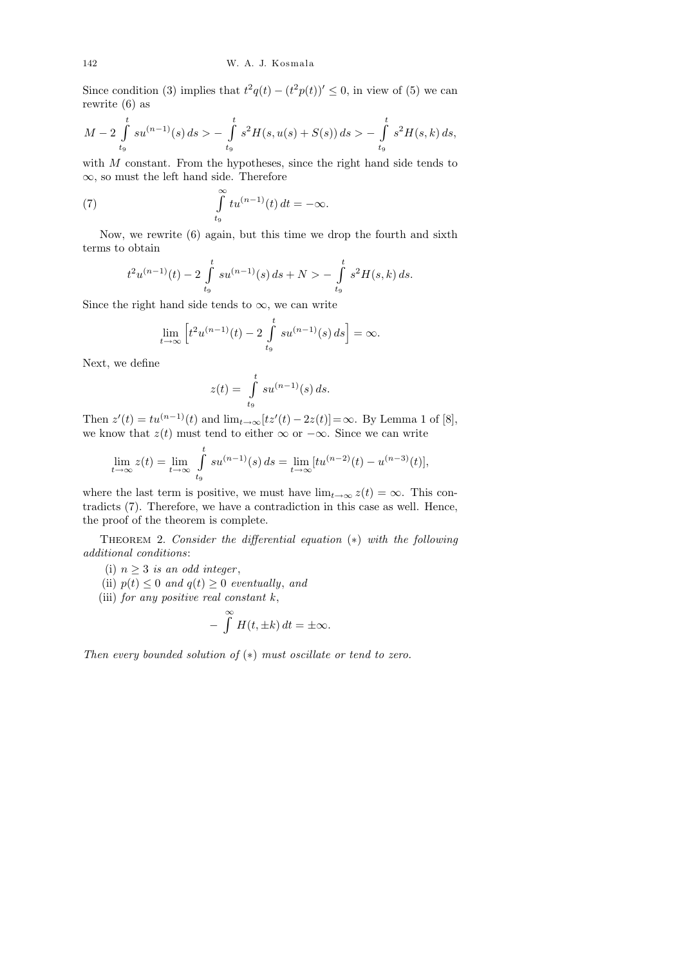Since condition (3) implies that  $t^2q(t) - (t^2p(t))' \leq 0$ , in view of (5) we can rewrite (6) as

$$
M-2\int_{t_9}^t su^{(n-1)}(s)\,ds > -\int_{t_9}^t s^2H(s,u(s)+S(s))\,ds > -\int_{t_9}^t s^2H(s,k)\,ds,
$$

with  $M$  constant. From the hypotheses, since the right hand side tends to ∞, so must the left hand side. Therefore

(7) 
$$
\int_{t_9}^{\infty} t u^{(n-1)}(t) dt = -\infty.
$$

Now, we rewrite (6) again, but this time we drop the fourth and sixth terms to obtain

$$
t^{2}u^{(n-1)}(t) - 2\int_{t_{9}}^{t}su^{(n-1)}(s) ds + N > -\int_{t_{9}}^{t}s^{2}H(s,k) ds.
$$

Since the right hand side tends to  $\infty$ , we can write

$$
\lim_{t \to \infty} \left[ t^2 u^{(n-1)}(t) - 2 \int_{t_9}^t s u^{(n-1)}(s) ds \right] = \infty.
$$

Next, we define

$$
z(t) = \int\limits_{t_9}^t su^{(n-1)}(s) ds.
$$

Then  $z'(t) = tu^{(n-1)}(t)$  and  $\lim_{t \to \infty} [tz'(t) - 2z(t)] = \infty$ . By Lemma 1 of [8], we know that  $z(t)$  must tend to either  $\infty$  or  $-\infty$ . Since we can write

$$
\lim_{t \to \infty} z(t) = \lim_{t \to \infty} \int_{t_9}^t s u^{(n-1)}(s) ds = \lim_{t \to \infty} [t u^{(n-2)}(t) - u^{(n-3)}(t)],
$$

where the last term is positive, we must have  $\lim_{t\to\infty} z(t) = \infty$ . This contradicts (7). Therefore, we have a contradiction in this case as well. Hence, the proof of the theorem is complete.

THEOREM 2. Consider the differential equation  $(*)$  with the following additional conditions:

(i)  $n \geq 3$  is an odd integer,

(ii)  $p(t) \leq 0$  and  $q(t) \geq 0$  eventually, and

(iii) for any positive real constant 
$$
k
$$
,

$$
- \int_{-\infty}^{\infty} H(t, \pm k) dt = \pm \infty.
$$

Then every bounded solution of  $(*)$  must oscillate or tend to zero.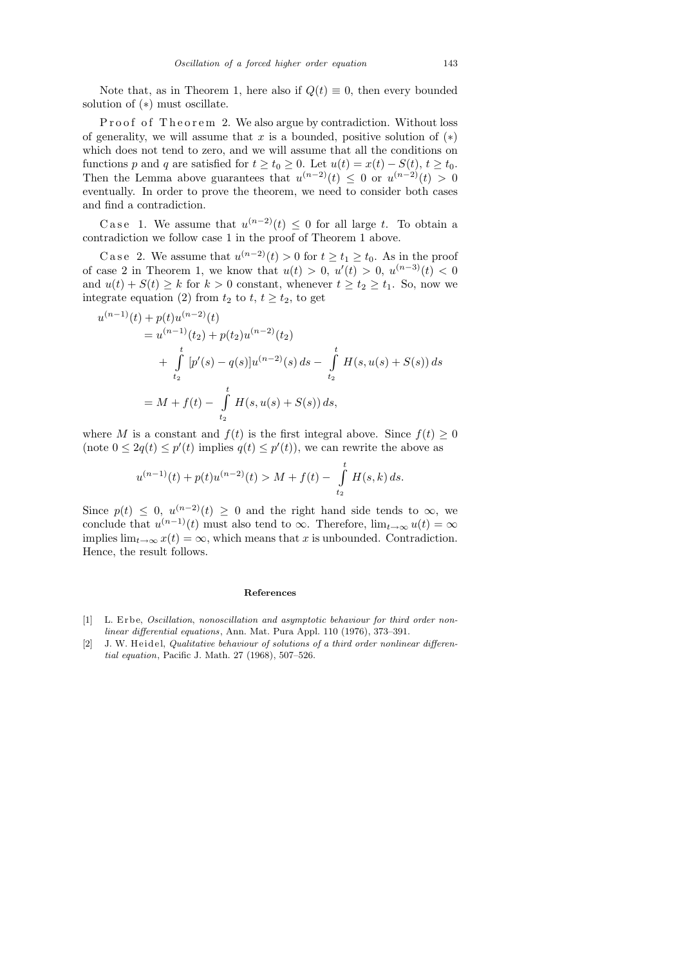Note that, as in Theorem 1, here also if  $Q(t) \equiv 0$ , then every bounded solution of (∗) must oscillate.

Proof of Theorem 2. We also argue by contradiction. Without loss of generality, we will assume that x is a bounded, positive solution of  $(*)$ which does not tend to zero, and we will assume that all the conditions on functions p and q are satisfied for  $t \ge t_0 \ge 0$ . Let  $u(t) = x(t) - S(t)$ ,  $t \ge t_0$ . Then the Lemma above guarantees that  $u^{(n-2)}(t) \leq 0$  or  $u^{(n-2)}(t) > 0$ eventually. In order to prove the theorem, we need to consider both cases and find a contradiction.

Case 1. We assume that  $u^{(n-2)}(t) \leq 0$  for all large t. To obtain a contradiction we follow case 1 in the proof of Theorem 1 above.

C a se 2. We assume that  $u^{(n-2)}(t) > 0$  for  $t \ge t_1 \ge t_0$ . As in the proof of case 2 in Theorem 1, we know that  $u(t) > 0$ ,  $u'(t) > 0$ ,  $u^{(n-3)}(t) < 0$ and  $u(t) + S(t) \geq k$  for  $k > 0$  constant, whenever  $t \geq t_2 \geq t_1$ . So, now we integrate equation (2) from  $t_2$  to  $t, t \geq t_2$ , to get

$$
u^{(n-1)}(t) + p(t)u^{(n-2)}(t)
$$
  
=  $u^{(n-1)}(t_2) + p(t_2)u^{(n-2)}(t_2)$   
+  $\int_{t_2}^t [p'(s) - q(s)]u^{(n-2)}(s) ds - \int_{t_2}^t H(s, u(s) + S(s)) ds$   
=  $M + f(t) - \int_{t_2}^t H(s, u(s) + S(s)) ds$ ,

where M is a constant and  $f(t)$  is the first integral above. Since  $f(t) \geq 0$ (note  $0 \leq 2q(t) \leq p'(t)$  implies  $q(t) \leq p'(t)$ ), we can rewrite the above as

$$
u^{(n-1)}(t) + p(t)u^{(n-2)}(t) > M + f(t) - \int_{t_2}^t H(s,k) ds.
$$

Since  $p(t) \leq 0$ ,  $u^{(n-2)}(t) \geq 0$  and the right hand side tends to  $\infty$ , we conclude that  $u^{(n-1)}(t)$  must also tend to  $\infty$ . Therefore,  $\lim_{t\to\infty}u(t)=\infty$ implies  $\lim_{t\to\infty} x(t) = \infty$ , which means that x is unbounded. Contradiction. Hence, the result follows.

## **References**

- [1] L. Erbe, *Oscillation*, *nonoscillation and asymptotic behaviour for third order nonlinear differential equations*, Ann. Mat. Pura Appl. 110 (1976), 373–391.
- [2] J. W. Heidel, *Qualitative behaviour of solutions of a third order nonlinear differential equation*, Pacific J. Math. 27 (1968), 507–526.